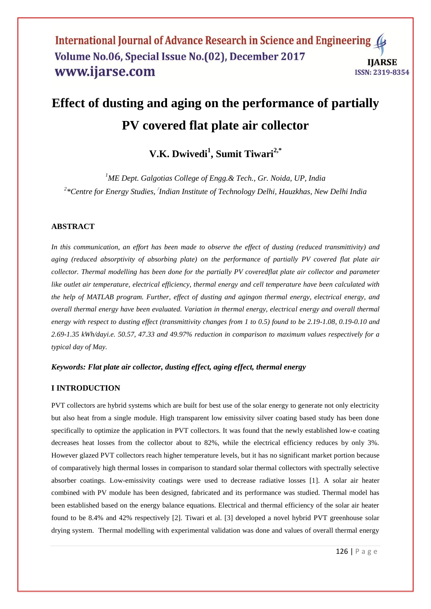# **Effect of dusting and aging on the performance of partially PV covered flat plate air collector**

# **V.K. Dwivedi<sup>1</sup> , Sumit Tiwari2,\***

*<sup>1</sup>ME Dept. Galgotias College of Engg.& Tech., Gr. Noida, UP, India 2 \*Centre for Energy Studies, / Indian Institute of Technology Delhi, Hauzkhas, New Delhi India*

#### **ABSTRACT**

*In this communication, an effort has been made to observe the effect of dusting (reduced transmittivity) and aging (reduced absorptivity of absorbing plate) on the performance of partially PV covered flat plate air collector. Thermal modelling has been done for the partially PV coveredflat plate air collector and parameter like outlet air temperature, electrical efficiency, thermal energy and cell temperature have been calculated with the help of MATLAB program. Further, effect of dusting and agingon thermal energy, electrical energy, and overall thermal energy have been evaluated. Variation in thermal energy, electrical energy and overall thermal energy with respect to dusting effect (transmittivity changes from 1 to 0.5) found to be 2.19-1.08, 0.19-0.10 and 2.69-1.35 kWh/dayi.e. 50.57, 47.33 and 49.97% reduction in comparison to maximum values respectively for a typical day of May.*

#### *Keywords: Flat plate air collector, dusting effect, aging effect, thermal energy*

#### **I INTRODUCTION**

PVT collectors are hybrid systems which are built for best use of the solar energy to generate not only electricity but also heat from a single module. High transparent low emissivity silver coating based study has been done specifically to optimize the application in PVT collectors. It was found that the newly established low-e coating decreases heat losses from the collector about to 82%, while the electrical efficiency reduces by only 3%. However glazed PVT collectors reach higher temperature levels, but it has no significant market portion because of comparatively high thermal losses in comparison to standard solar thermal collectors with spectrally selective absorber coatings. Low-emissivity coatings were used to decrease radiative losses [1]. A solar air heater combined with PV module has been designed, fabricated and its performance was studied. Thermal model has been established based on the energy balance equations. Electrical and thermal efficiency of the solar air heater found to be 8.4% and 42% respectively [2]. Tiwari et al. [3] developed a novel hybrid PVT greenhouse solar drying system. Thermal modelling with experimental validation was done and values of overall thermal energy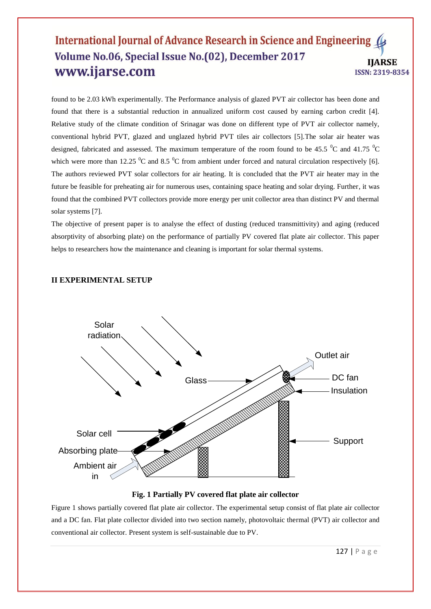found to be 2.03 kWh experimentally. The Performance analysis of glazed PVT air collector has been done and found that there is a substantial reduction in annualized uniform cost caused by earning carbon credit [4]. Relative study of the climate condition of Srinagar was done on different type of PVT air collector namely, conventional hybrid PVT, glazed and unglazed hybrid PVT tiles air collectors [5].The solar air heater was designed, fabricated and assessed. The maximum temperature of the room found to be 45.5  $\rm{^0C}$  and 41.75  $\rm{^0C}$ which were more than 12.25  $\mathrm{^0C}$  and 8.5  $\mathrm{^0C}$  from ambient under forced and natural circulation respectively [6]. The authors reviewed PVT solar collectors for air heating. It is concluded that the PVT air heater may in the future be feasible for preheating air for numerous uses, containing space heating and solar drying. Further, it was found that the combined PVT collectors provide more energy per unit collector area than distinct PV and thermal solar systems [7].

The objective of present paper is to analyse the effect of dusting (reduced transmittivity) and aging (reduced absorptivity of absorbing plate) on the performance of partially PV covered flat plate air collector. This paper helps to researchers how the maintenance and cleaning is important for solar thermal systems.

#### **II EXPERIMENTAL SETUP**



#### **Fig. 1 Partially PV covered flat plate air collector**

Figure 1 shows partially covered flat plate air collector. The experimental setup consist of flat plate air collector and a DC fan. Flat plate collector divided into two section namely, photovoltaic thermal (PVT) air collector and conventional air collector. Present system is self-sustainable due to PV.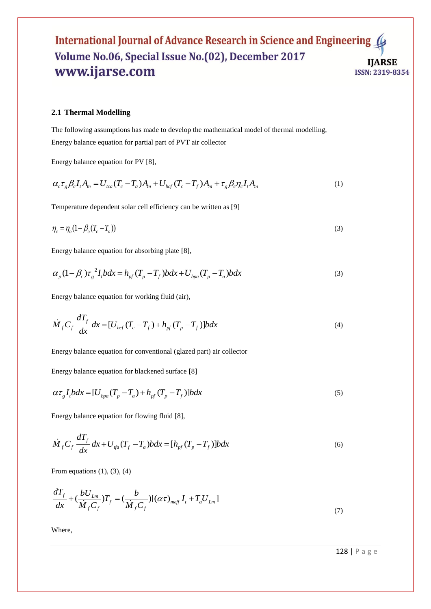#### **2.1 Thermal Modelling**

The following assumptions has made to develop the mathematical model of thermal modelling, Energy balance equation for partial part of PVT air collector

Energy balance equation for PV [8],  
\n
$$
\alpha_c \tau_g \beta_c I_t A_m = U_{tca} (T_c - T_a) A_m + U_{bcf} (T_c - T_f) A_m + \tau_g \beta_c \eta_c I_t A_m
$$
\n(1)

Temperature dependent solar cell efficiency can be written as [9]

$$
\eta_c = \eta_o (1 - \beta_o (T_c - T_o)) \tag{3}
$$

Energy balance equation for absorbing plate [8],  
\n
$$
\alpha_p (1 - \beta_c) \tau_g^2 I_t b dx = h_{pf} (T_p - T_f) b dx + U_{bpa} (T_p - T_a) b dx
$$
\n(3)

Energy balance equation for working fluid (air),

$$
\dot{M}_f C_f \frac{dT_f}{dx} dx = [U_{bcf} (T_c - T_f) + h_{pf} (T_p - T_f)] b dx
$$
\n(4)

Energy balance equation for conventional (glazed part) air collector

Energy balance equation for blackened surface [8]

$$
\alpha \tau_g I_t b dx = [U_{bpa}(T_p - T_a) + h_{pf}(T_p - T_f)] b dx
$$
\n(5)

Energy balance equation for flowing fluid [8],

$$
\dot{M}_f C_f \frac{dT_f}{dx} dx + U_{tfa} (T_f - T_a) b dx = [h_{pf} (T_p - T_f)] b dx
$$
\n(6)

From equations  $(1)$ ,  $(3)$ ,  $(4)$ 

$$
\frac{dT_f}{dx} + \left(\frac{bU_{Lm}}{\dot{M}_f C_f}\right)T_f = \left(\frac{b}{\dot{M}_f C_f}\right)[\left(\alpha \tau\right)_{m\in f} I_t + T_a U_{Lm}]
$$
\n(7)

Where,

128 | P a g e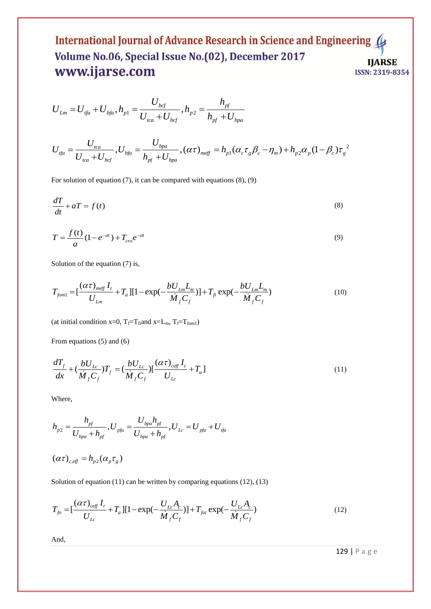$$
U_{Lm} = U_{tfa} + U_{bfa}, h_{p1} = \frac{U_{bcf}}{U_{tca} + U_{bcf}}, h_{p2} = \frac{h_{pf}}{h_{pf} + U_{bpa}}
$$

$$
U_{Lm} = U_{tfa} + U_{bfa}, h_{p1} = U_{tca} + U_{bcf}, h_{p2} = h_{pf} + U_{bpa}
$$
  

$$
U_{tfa} = \frac{U_{tca}}{U_{tca} + U_{bcf}}, U_{bfa} = \frac{U_{bpa}}{h_{pf} + U_{bpa}}, (\alpha \tau)_{meff} = h_{p1} (\alpha_c \tau_g \beta_c - \eta_m) + h_{p2} \alpha_p (1 - \beta_c) \tau_g^{2}
$$

For solution of equation (7), it can be compared with equations (8), (9)

$$
\frac{dT}{dt} + aT = f(t) \tag{8}
$$

$$
T = \frac{f(t)}{a} (1 - e^{-at}) + T_{cro} e^{-at}
$$
\n(9)

Solution of the equation (7) is,  
\n
$$
T_{fom1} = \left[\frac{(\alpha \tau)_{meff} I_t}{U_{Lm}} + T_a\right] \left[1 - \exp\left(-\frac{bU_{Lm} L_m}{\dot{M}_f C_f}\right)\right] + T_{fi} \exp\left(-\frac{bU_{Lm} L_m}{\dot{M}_f C_f}\right)
$$
\n(10)

(at initial condition x=0,  $T_f = T_{fi}$ and x=L<sub>m</sub>,  $T_f = T_{fom1}$ )

From equations (5) and (6)

$$
\frac{dT_f}{dx} + \left(\frac{bU_{Lc}}{\dot{M}_f C_f}\right)T_f = \left(\frac{bU_{Lc}}{\dot{M}_f C_f}\right)\left[\frac{(\alpha\tau)_{\text{eff}}I_t}{U_{Lc}} + T_a\right]
$$
\n(11)

Where,

where,  
\n
$$
h_{p2} = \frac{h_{pf}}{U_{bpa} + h_{pf}}, U_{pfa} = \frac{U_{bpa}h_{pf}}{U_{bpa} + h_{pf}}, U_{Lc} = U_{pfa} + U_{ffa}
$$

$$
(\alpha \tau)_{c, \text{eff}} = h_{p2} (\alpha_p \tau_g)
$$

Solution of equation (11) can be written by comparing equations (12), (13)  
\n
$$
T_{fo} = \left[\frac{(\alpha \tau)_{ceff} I_t}{U_{Lc}} + T_a\right] \left[1 - \exp\left(-\frac{U_{Lc} A_c}{\dot{M}_f C_f}\right)\right] + T_{foi} \exp\left(-\frac{U_{Lc} A_c}{\dot{M}_f C_f}\right) \tag{12}
$$

And,

129 | P a g e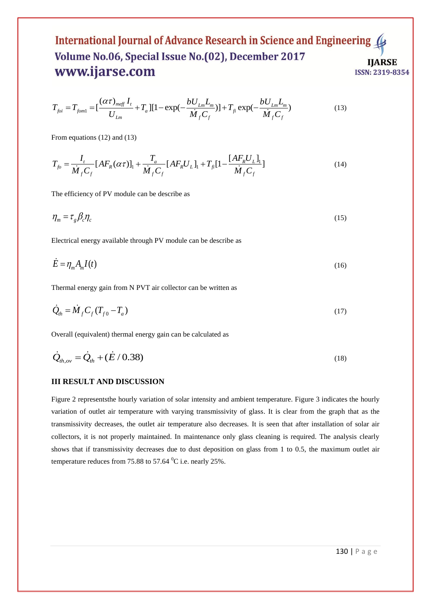**www.w.1Jd1 Sec. CIII**  
\n
$$
T_{foi} = T_{fom1} = \left[\frac{(\alpha \tau)_{meff} I_t}{U_{Lm}} + T_a\right] [1 - \exp(-\frac{bU_{Lm}L_m}{\dot{M}_f C_f})] + T_{fi} \exp(-\frac{bU_{Lm}L_m}{\dot{M}_f C_f})
$$
\n(13)

From equations (12) and (13)

From equations (12) and (13)  
\n
$$
T_{fo} = \frac{I_t}{\dot{M}_f C_f} [AF_R(\alpha \tau)]_1 + \frac{T_a}{\dot{M}_f C_f} [AF_R U_L]_1 + T_{fi} [1 - \frac{[AF_R U_L]_1}{\dot{M}_f C_f}]
$$
\n(14)

The efficiency of PV module can be describe as

$$
\eta_m = \tau_g \beta_c \eta_c \tag{15}
$$

Electrical energy available through PV module can be describe as

$$
\dot{E} = \eta_m A_m I(t) \tag{16}
$$

Thermal energy gain from N PVT air collector can be written as

$$
\dot{Q}_{th} = \dot{M}_f C_f (T_{f0} - T_a) \tag{17}
$$

Overall (equivalent) thermal energy gain can be calculated as

$$
\dot{Q}_{th,ov} = \dot{Q}_{th} + (\dot{E}/0.38)
$$
\n(18)

#### **III RESULT AND DISCUSSION**

Figure 2 representsthe hourly variation of solar intensity and ambient temperature. Figure 3 indicates the hourly variation of outlet air temperature with varying transmissivity of glass. It is clear from the graph that as the transmissivity decreases, the outlet air temperature also decreases. It is seen that after installation of solar air collectors, it is not properly maintained. In maintenance only glass cleaning is required. The analysis clearly shows that if transmissivity decreases due to dust deposition on glass from 1 to 0.5, the maximum outlet air temperature reduces from 75.88 to 57.64  $^0$ C i.e. nearly 25%.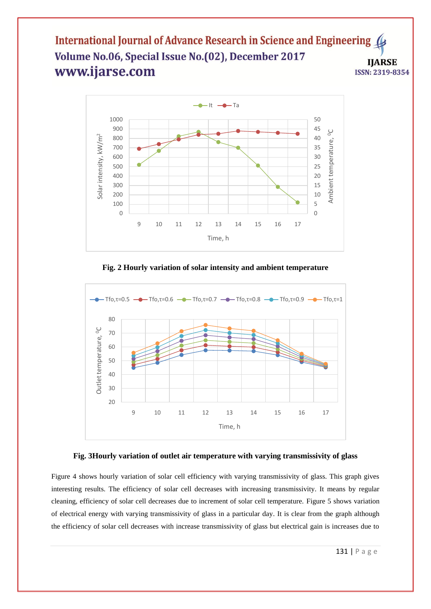

**Fig. 2 Hourly variation of solar intensity and ambient temperature**



#### **Fig. 3Hourly variation of outlet air temperature with varying transmissivity of glass**

Figure 4 shows hourly variation of solar cell efficiency with varying transmissivity of glass. This graph gives interesting results. The efficiency of solar cell decreases with increasing transmissivity. It means by regular cleaning, efficiency of solar cell decreases due to increment of solar cell temperature. Figure 5 shows variation of electrical energy with varying transmissivity of glass in a particular day. It is clear from the graph although the efficiency of solar cell decreases with increase transmissivity of glass but electrical gain is increases due to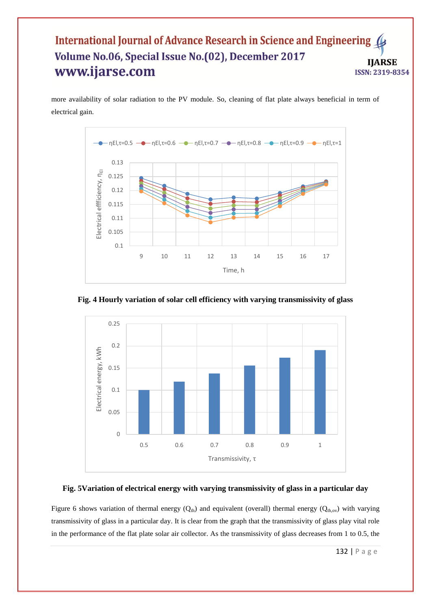more availability of solar radiation to the PV module. So, cleaning of flat plate always beneficial in term of electrical gain.



**Fig. 4 Hourly variation of solar cell efficiency with varying transmissivity of glass**



#### **Fig. 5Variation of electrical energy with varying transmissivity of glass in a particular day**

Figure 6 shows variation of thermal energy  $(Q_{th})$  and equivalent (overall) thermal energy  $(Q_{th,ov})$  with varying transmissivity of glass in a particular day. It is clear from the graph that the transmissivity of glass play vital role in the performance of the flat plate solar air collector. As the transmissivity of glass decreases from 1 to 0.5, the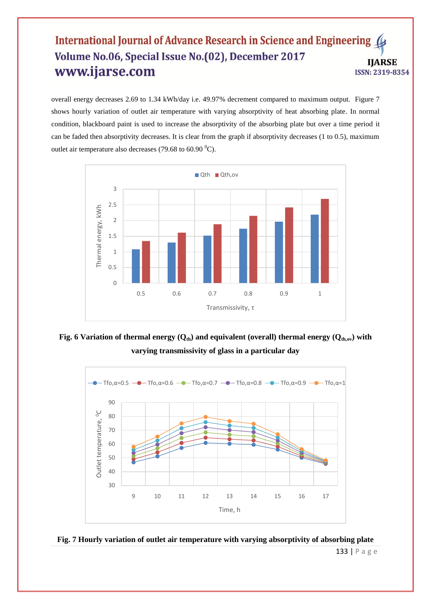overall energy decreases 2.69 to 1.34 kWh/day i.e. 49.97% decrement compared to maximum output. Figure 7 shows hourly variation of outlet air temperature with varying absorptivity of heat absorbing plate. In normal condition, blackboard paint is used to increase the absorptivity of the absorbing plate but over a time period it can be faded then absorptivity decreases. It is clear from the graph if absorptivity decreases (1 to 0.5), maximum outlet air temperature also decreases (79.68 to 60.90  $^0$ C).



**Fig. 6 Variation of thermal energy (Qth) and equivalent (overall) thermal energy (Qth,ov) with varying transmissivity of glass in a particular day**





133 | P a g e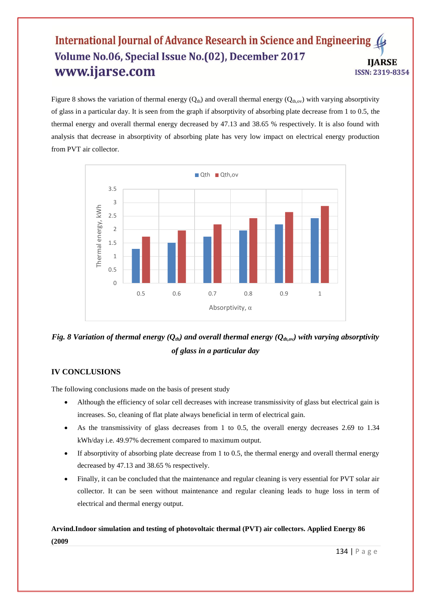Figure 8 shows the variation of thermal energy  $(Q<sub>th</sub>)$  and overall thermal energy  $(Q<sub>th,ov</sub>)$  with varying absorptivity of glass in a particular day. It is seen from the graph if absorptivity of absorbing plate decrease from 1 to 0.5, the thermal energy and overall thermal energy decreased by 47.13 and 38.65 % respectively. It is also found with analysis that decrease in absorptivity of absorbing plate has very low impact on electrical energy production from PVT air collector.



*Fig. 8 Variation of thermal energy (Qth) and overall thermal energy (Qth,ov) with varying absorptivity of glass in a particular day*

#### **IV CONCLUSIONS**

The following conclusions made on the basis of present study

- Although the efficiency of solar cell decreases with increase transmissivity of glass but electrical gain is increases. So, cleaning of flat plate always beneficial in term of electrical gain.
- As the transmissivity of glass decreases from 1 to 0.5, the overall energy decreases 2.69 to 1.34 kWh/day i.e. 49.97% decrement compared to maximum output.
- $\bullet$  If absorptivity of absorbing plate decrease from 1 to 0.5, the thermal energy and overall thermal energy decreased by 47.13 and 38.65 % respectively.
- Finally, it can be concluded that the maintenance and regular cleaning is very essential for PVT solar air collector. It can be seen without maintenance and regular cleaning leads to huge loss in term of electrical and thermal energy output.

# **Arvind.Indoor simulation and testing of photovoltaic thermal (PVT) air collectors. Applied Energy 86 (2009**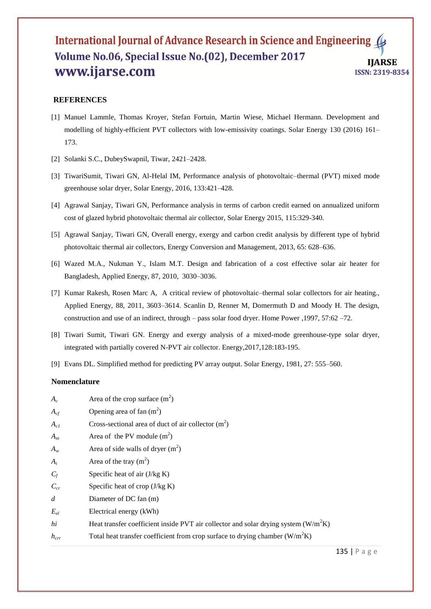#### **REFERENCES**

- [1] Manuel Lammle, Thomas Kroyer, Stefan Fortuin, Martin Wiese, Michael Hermann. Development and modelling of highly-efficient PVT collectors with low-emissivity coatings. Solar Energy 130 (2016) 161– 173.
- [2] Solanki S.C., DubeySwapnil, Tiwar, 2421–2428.
- [3] TiwariSumit, Tiwari GN, Al-Helal IM, Performance analysis of photovoltaic–thermal (PVT) mixed mode greenhouse solar dryer, Solar Energy, 2016, 133:421–428.
- [4] Agrawal Sanjay, Tiwari GN, Performance analysis in terms of carbon credit earned on annualized uniform cost of glazed hybrid photovoltaic thermal air collector, Solar Energy 2015, 115:329-340.
- [5] Agrawal Sanjay, Tiwari GN, Overall energy, exergy and carbon credit analysis by different type of hybrid photovoltaic thermal air collectors, Energy Conversion and Management, 2013, 65: 628–636.
- [6] Wazed M.A., Nukman Y., Islam M.T. Design and fabrication of a cost effective solar air heater for Bangladesh, Applied Energy, 87, 2010, 3030–3036.
- [7] Kumar Rakesh, Rosen Marc A, A critical review of photovoltaic–thermal solar collectors for air heating., Applied Energy, 88, 2011, 3603–3614. Scanlin D, Renner M, Domermuth D and Moody H. The design, construction and use of an indirect, through – pass solar food dryer. Home Power ,1997, 57:62 –72.
- [8] Tiwari Sumit, Tiwari GN. Energy and exergy analysis of a mixed-mode greenhouse-type solar dryer, integrated with partially covered N-PVT air collector. Energy,2017,128:183-195.
- [9] Evans DL. Simplified method for predicting PV array output. Solar Energy, 1981, 27: 555–560.

#### **Nomenclature**

| $A_c$            | Area of the crop surface $(m^2)$                                                     |
|------------------|--------------------------------------------------------------------------------------|
| $A_{cf}$         | Opening area of fan $(m^2)$                                                          |
| $A_{c1}$         | Cross-sectional area of duct of air collector $(m2)$                                 |
| $A_m$            | Area of the PV module $(m^2)$                                                        |
| $A_w$            | Area of side walls of dryer $(m^2)$                                                  |
| $A_t$            | Area of the tray $(m^2)$                                                             |
| $C_f$            | Specific heat of air $(J/kg K)$                                                      |
| $C_{cr}$         | Specific heat of crop $(J/kg K)$                                                     |
| $\overline{d}$   | Diameter of DC fan (m)                                                               |
| $E_{el}$         | Electrical energy (kWh)                                                              |
| hi               | Heat transfer coefficient inside PVT air collector and solar drying system $(W/m2K)$ |
| $h_{\text{err}}$ | Total heat transfer coefficient from crop surface to drying chamber $(W/m2K)$        |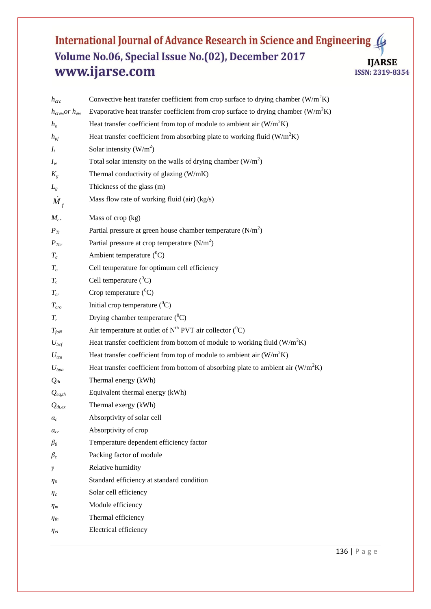| $h_{\text{crc}}$                     | Convective heat transfer coefficient from crop surface to drying chamber $(W/m^2K)$  |
|--------------------------------------|--------------------------------------------------------------------------------------|
| $h_{\text{crew}}$ or $h_{\text{ew}}$ | Evaporative heat transfer coefficient from crop surface to drying chamber $(W/m^2K)$ |
| $h_o$                                | Heat transfer coefficient from top of module to ambient air $(W/m2K)$                |
| $h_{pf}$                             | Heat transfer coefficient from absorbing plate to working fluid $(W/m2K)$            |
| $I_t$                                | Solar intensity $(W/m^2)$                                                            |
| $I_w$                                | Total solar intensity on the walls of drying chamber $(W/m^2)$                       |
| $K_{g}$                              | Thermal conductivity of glazing (W/mK)                                               |
| $L_g$                                | Thickness of the glass (m)                                                           |
| $M_f$                                | Mass flow rate of working fluid (air) (kg/s)                                         |
| $M_{cr}$                             | Mass of crop (kg)                                                                    |
| $P_{Tr}$                             | Partial pressure at green house chamber temperature $(N/m2)$                         |
| $P_{Tcr}$                            | Partial pressure at crop temperature $(N/m2)$                                        |
| $T_a$                                | Ambient temperature $(^0C)$                                                          |
| T <sub>o</sub>                       | Cell temperature for optimum cell efficiency                                         |
| $T_c$                                | Cell temperature $(^0C)$                                                             |
| $T_{cr}$                             | Crop temperature $(^0C)$                                                             |
| $T_{cro}$                            | Initial crop temperature $(^0C)$                                                     |
| $T_r$                                | Drying chamber temperature $(^0C)$                                                   |
| $T_{f o N}$                          | Air temperature at outlet of $N^{th}$ PVT air collector ( $^{0}C$ )                  |
| $U_{bcf}$                            | Heat transfer coefficient from bottom of module to working fluid $(W/m2K)$           |
| $U_{tca}$                            | Heat transfer coefficient from top of module to ambient air $(W/m2K)$                |
| $U_{bpa}$                            | Heat transfer coefficient from bottom of absorbing plate to ambient air $(W/m^2K)$   |
| $Q_{th}$                             | Thermal energy (kWh)                                                                 |
| $Q_{eq,th}$                          | Equivalent thermal energy (kWh)                                                      |
| $Q_{th,ex}$                          | Thermal exergy (kWh)                                                                 |
| $a_c$                                | Absorptivity of solar cell                                                           |
| $\alpha_{cr}$                        | Absorptivity of crop                                                                 |
| $\beta_0$                            | Temperature dependent efficiency factor                                              |
| $\beta_c$                            | Packing factor of module                                                             |
| γ                                    | Relative humidity                                                                    |
| $\eta_{0}$                           | Standard efficiency at standard condition                                            |
| $\eta_c$                             | Solar cell efficiency                                                                |
| $\eta_m$                             | Module efficiency                                                                    |
| $\eta_{\textit{th}}$                 | Thermal efficiency                                                                   |
| $\eta_{el}$                          | Electrical efficiency                                                                |